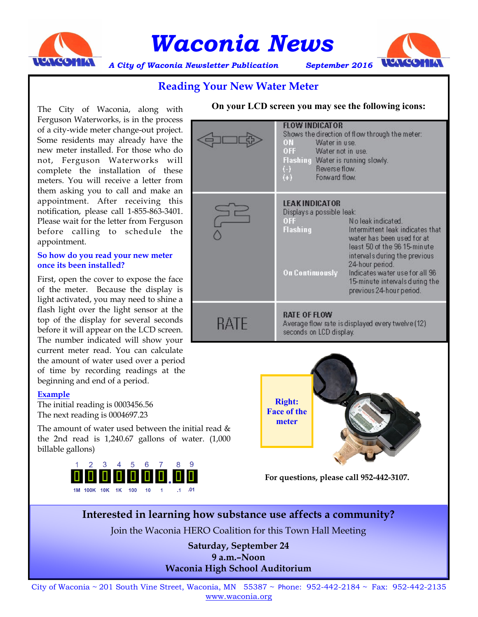

# *Waconia News*<br>Vaconia Newsletter Publication September 2016 TUNGONIA



*A City of Waconia Newsletter Publication September 2016*

#### **Reading Your New Water Meter**

The City of Waconia, along with Ferguson Waterworks, is in the process of a city-wide meter change-out project. Some residents may already have the new meter installed. For those who do not, Ferguson Waterworks will complete the installation of these meters. You will receive a letter from them asking you to call and make an appointment. After receiving this notification, please call 1-855-863-3401. Please wait for the letter from Ferguson before calling to schedule the appointment.

#### **So how do you read your new meter once its been installed?**

First, open the cover to expose the face of the meter. Because the display is light activated, you may need to shine a flash light over the light sensor at the top of the display for several seconds before it will appear on the LCD screen. The number indicated will show your current meter read. You can calculate the amount of water used over a period of time by recording readings at the beginning and end of a period.

#### **Example**

The initial reading is 0003456.56 The next reading is 0004697.23

The amount of water used between the initial read  $\&$ the 2nd read is 1,240.67 gallons of water. (1,000 billable gallons)







**For questions, please call 952-442-3107.**

**Interested in learning how substance use affects a community?**

Join the Waconia HERO Coalition for this Town Hall Meeting

**Saturday, September 24 9 a.m.–Noon Waconia High School Auditorium**

City of Waconia ~ 201 South Vine Street, Waconia, MN 55387 ~ Phone: 952-442-2184 ~ Fax: 952-442-2135 www.waconia.org